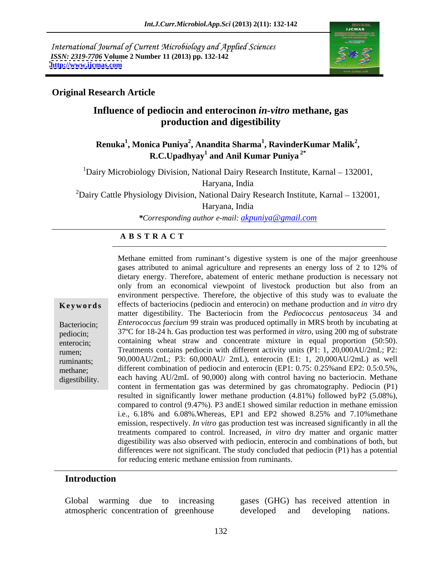International Journal of Current Microbiology and Applied Sciences *ISSN: 2319-7706* **Volume 2 Number 11 (2013) pp. 132-142 <http://www.ijcmas.com>**



### **Original Research Article**

## **Influence of pediocin and enterocinon** *in-vitro* **methane, gas production and digestibility**

## **Renuka<sup>1</sup>, Monica Puniya<sup>2</sup>, Anandita Sharma<sup>1</sup>, RavinderKumar Malik<sup>2</sup>,<br><b>R.C.Upadhyay<sup>1</sup> and Anil Kumar Puniya<sup>2\*</sup> and Anil Kumar Puniya 2\***

 $1$ Dairy Microbiology Division, National Dairy Research Institute, Karnal – 132001, Haryana, India

<sup>2</sup>Dairy Cattle Physiology Division, National Dairy Research Institute, Karnal – 132001,

Haryana, India

*\*Corresponding author e-mail: akpuniya@gmail.com*

## **A B S T R A C T**

| Keywords |  |  |  |  |
|----------|--|--|--|--|
|          |  |  |  |  |

**Ke ywo rds** effects of bacteriocins (pediocin and enterocin) on methane production and *in vitro* dry Bacteriocin; *Enterococcus faecium* 99 strain was produced optimally in MRS broth by incubating at pediocin; 37ºC for 18-24 h. Gas production test was performed *in vitro*, using 200 mg of substrate enterocin; containing wheat straw and concentrate mixture in equal proportion (50:50). rumen; Treatments contains pediocin with different activity units (P1: 1, 20,000AU/2mL; P2: ruminants; 90,000AU/2mL; P3: 60,000AU/ 2mL), enterocin (E1: 1, 20,000AU/2mL) as well methane; different combination of pediocin and enterocin (EP1: 0.75: 0.25% and EP2: 0.5:0.5%, Methane emitted from ruminant's digestive system is one of the major greenhouse<br>gass attributed to animal agriculture and represents an energy loss of 2 to 12% of<br>dietary energy. Therefore, abatement of enteric metane pro gases attributed to animal agriculture and represents an energy loss of 2 to 12% of dietary energy. Therefore, abatement of enteric methane production is necessary not only from an economical viewpoint of livestock production but also from an environment perspective. Therefore, the objective of this study was to evaluate the matter digestibility. The Bacteriocin from the *Pediococcus pentosaceus* 34 and each having AU/2mL of 90,000) along with control having no bacteriocin. Methane content in fermentation gas was determined by gas chromatography. Pediocin (P1) resulted in significantly lower methane production (4.81%) followed byP2 (5.08%), compared to control (9.47%). P3 andE1 showed similar reduction in methane emission i.e., 6.18% and 6.08%.Whereas, EP1 and EP2 showed 8.25% and 7.10%methane emission, respectively. *In vitro* gas production test was increased significantly in all the treatments compared to control. Increased, *in vitro* dry matter and organic matter digestibility was also observed with pediocin, enterocin and combinations of both, but differences were not significant. The study concluded that pediocin (P1) has a potential for reducing enteric methane emission from ruminants.

### **Introduction**

Global warming due to increasing gases (GHG) has received attention in

atmospheric concentration of greenhouse developed and developing nations.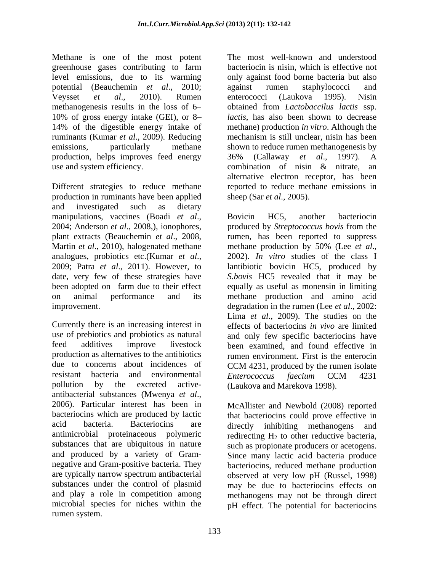Methane is one of the most potent greenhouse gases contributing to farm potential (Beauchemin *et al*., 2010; ruminants (Kumar *et al*., 2009). Reducing production, helps improves feed energy 36% (Callaway et al., 1997). A use and system efficiency. Combination of nisin & nitrate, an

Different strategies to reduce methane production in ruminants have been applied and investigated such as dietary manipulations, vaccines (Boadi *et al.*, 2006), Bovicin HC5, another bacteriocin<br>2004; Anderson *et al.*, 2008,), ionophores, produced by *Streptococcus bovis* from the plant extracts (Beauchemin *et al*., 2008, rumen, has been reported to suppress Martin *et al*., 2010), halogenated methane methane production by 50% (Lee *et al*., analogues, probiotics etc.(Kumar *et al.*, 2002). *In vitro* studies of the class I<br>2009; Patra *et al.*, 2011). However, to lantibiotic bovicin HC5, produced by date, very few of these strategies have *S.bovis*HC5 revealed that it may be been adopted on -farm due to their effect equally as useful as monensin in limiting on animal performance and its methane production and amino acid improvement. degradation in the rumen (Lee *et al*., 2002:

Currently there is an increasing interest in effects of bacteriocins *in vivo* are limited use of prebiotics and probiotics as natural and only few specific bacteriocins have feed additives improve livestock been examined, and found effective in production as alternatives to the antibiotics rumen environment. First is the enterocin due to concerns about incidences of CCM 4231, produced by the rumen isolate resistant bacteria and environmental *Enterococcus faecium* CCM 4231 pollution by the excreted active- (Laukova and Marekova 1998). antibacterial substances (Mwenya *et al*., 2006). Particular interest has been in bacteriocins which are produced by lactic that bacteriocins could prove effective in acid bacteria. Bacteriocins are directly inhibiting methanogens and antimicrobial proteinaceous polymeric redirecting  $H_2$  to other reductive bacteria, substances that are ubiquitous in nature such as propionate producers or acetogens. and produced by a variety of Gram- Since many lactic acid bacteria produce negative and Gram-positive bacteria. They bacteriocins, reduced methane production are typically narrow spectrum antibacterial observed at very low pH (Russel, 1998) substances under the control of plasmid may be due to bacteriocins effects on and play a role in competition among methanogens may not be through direct microbial species for niches within the pH effect. The potential for bacteriocinsrumen system.

level emissions, due to its warming only against food borne bacteria but also Veysset *et al*., 2010). Rumen methanogenesis results in the loss of 6 obtained from *Lactobaccilus lactis* ssp. 10% of gross energy intake (GEI), or 8 *lactis*, has also been shown to decrease 14% of the digestible energy intake of methane) production *in vitro*. Although the emissions, particularly methane shown to reduce rumen methanogenesis by The most well-known and understood bacteriocin is nisin, which is effective not against rumen staphylococci and enterococci (Laukova 1995). Nisin mechanism is still unclear, nisin has been 36% (Callaway *et al*., 1997). A combination of nisin & nitrate, an alternative electron receptor, has been reported to reduce methane emissions in sheep (Sar *et al*., 2005).

> Bovicin HC5, another bacteriocin 2002). *In vitro* studies of the class I lantibiotic bovicin HC5, produced by Lima *et al*., 2009). The studies on the *Enterococcus faecium* CCM 4231

McAllister and Newbold (2008) reported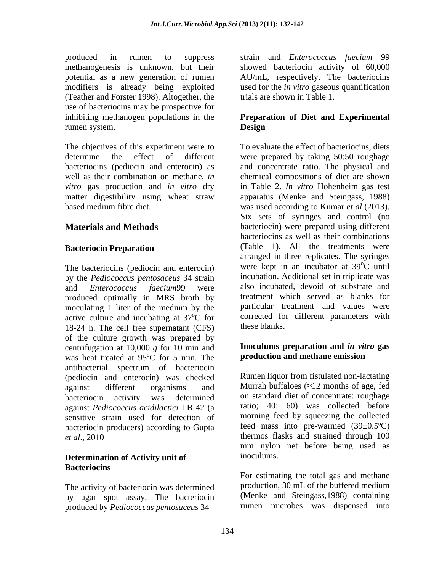produced in rumen to suppress strain and *Enterococcus faecium* 99 methanogenesis is unknown, but their showed bacteriocin activity of 60,000 potential as a new generation of rumen AU/mL, respectively. The bacteriocins modifiers is already being exploited used for the *in vitro* gaseous quantification (Teather and Forster 1998). Altogether, the use of bacteriocins may be prospective for inhibiting methanogen populations in the **Preparation of Diet and Experimental** rumen system.

The objectives of this experiment were to based medium fibre diet. was used according to Kumar *et al* (2013).

The bacteriocins (pediocin and enterocin) by the *Pediococcus pentosaceus* 34 strain and *Enterococcus faecium*99 were also incubated, devoid of substrate and produced optimally in MRS broth by inoculating 1 liter of the medium by the active culture and incubating at  $37^{\circ}$ C for corrected for the contract of  $18-24$  h. The cell free superpatant (CES) these blanks. 18-24 h. The cell free supernatant (CFS) of the culture growth was prepared by centrifugation at 10,000 *g* for 10 min and was heat treated at 95°C for 5 min. The antibacterial spectrum of bacteriocin (pediocin and enterocin) was checked against different organisms and Murrah buffaloes  $(\approx 12 \text{ months of age}, \text{fed})$ bacteriocin activity was determined on standard diet of concentrate: roughage against *Pediococcus acidilactici* LB 42 (a sensitive strain used for detection of bacteriocin producers) according to Gupta

## **Determination of Activity unit of** inoculums. **Bacteriocins**

by agar spot assay. The bacteriocin produced by *Pediococcus pentosaceus* 34

trials are shown in Table 1.

# **Design**

determine the effect of different were prepared by taking 50:50 roughage bacteriocins (pediocin and enterocin) as and concentrate ratio. The physical and well as their combination on methane, *in*  chemical compositions of diet are shown *vitro* gas production and *in vitro* dry in Table 2. *In vitro* Hohenheim gas test matter digestibility using wheat straw apparatus (Menke and Steingass, 1988) **Materials and Methods bacteriocin**) were prepared using different **Bacteriocin Preparation** (Table 1). All the treatments were  $\rm ^{o}C$  for corrected for different parameters with To evaluate the effect of bacteriocins, diets was used according to Kumar *et al* (2013).<br>Six sets of syringes and control (no bacteriocins as well as their combinations arranged in three replicates. The syringes were kept in an incubator at 39<sup>o</sup>C until  $\overline{C}$  until incubation. Additional set in triplicate was treatment which served as blanks for particular treatment and values were these blanks.

### $\overline{C}$  for 5 min. The **production and methane emission Inoculums preparation and** *in vitro* **gas production and methane emission**

*et al*., 2010 thermos flasks and strained through 100 Rumen liquor from fistulated non-lactating ratio; 40: 60) was collected before morning feed by squeezing the collected feed mass into pre-warmed  $(39\pm0.5^{\circ}C)$ mm nylon net before being used as inoculums.

The activity of bacteriocin was determined production, 30 mL of the buffered medium For estimating the total gas and methane production, 30 mL of the buffered medium (Menke and Steingass,1988) containing rumen microbes was dispensed into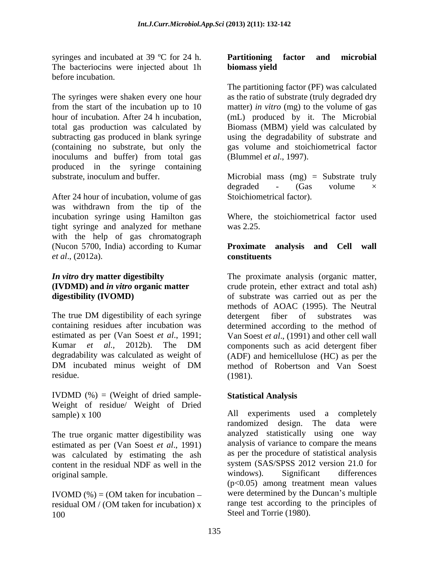syringes and incubated at 39 °C for 24 h. **Partitioning factor and microbial** The bacteriocins were injected about 1h biomass yield before incubation.

The syringes were shaken every one hour from the start of the incubation up to 10 matter) *in vitro* (mg) to the volume of gas hour of incubation. After 24 h incubation, (mL) produced by it. The Microbial total gas production was calculated by Biomass (MBM) yield was calculated by subtracting gas produced in blank syringe using the degradability of substrate and (containing no substrate, but only the inoculums and buffer) from total gas produced in the syringe containing<br>substrate inoculum and buffer. substrate, inoculum and buffer. Microbial mass (mg) = Substrate truly

After 24 hour of incubation, volume of gas was withdrawn from the tip of the incubation syringe using Hamilton gas tight syringe and analyzed for methane was 2.25. with the help of gas chromatograph (Nucon 5700, India) according to Kumar **Proximate analysis and Cell wall** *et al*., (2012a).

IVDMD  $(\%)$  = (Weight of dried sample-<br>Statistical Analysis Weight of residue/ Weight of Dried

The true organic matter digestibility was estimated as per (Van Soest *et al*., 1991) was calculated by estimating the ash content in the residual NDF as well in the system (SAS/SPSS 2012 version 21.0 for virious). Significant differences original sample.

IVOMD  $(\%) = (OM$  taken for incubation – residual OM / (OM taken for incubation) x 100 Steel and Torrie (1980).

### **Partitioning factor and microbial biomass yield**

The partitioning factor (PF) was calculated as the ratio of substrate (truly degraded dry gas volume and stoichiometrical factor (Blummel *et al*., 1997).

degraded - (Gas volume × Stoichiometrical factor).

Where, the stoichiometrical factor used was 2.25.

# **constituents**

*In vitro* **dry matter digestibilty**  The proximate analysis (organic matter, **(IVDMD) and** *in vitro* **organic matter**  crude protein, ether extract and total ash) **digestibility (IVOMD)** of substrate was carried out as per the The true DM digestibility of each syringe detergent fiber of substrates was containing residues after incubation was determined according to the method of estimated as per (Van Soest *et al*., 1991; Van Soest *et al*., (1991) and other cell wall Kumar *et al.,* 2012b). The DM degradability was calculated as weight of (ADF) and hemicellulose (HC) as per the DM incubated minus weight of DM method of Robertson and Van Soest  $residue.$  (1981). methods of AOAC (1995). The Neutral detergent fiber of substrates was components such as acid detergent fiber method of Robertson and Van Soest (1981).

## **Statistical Analysis**

sample) x 100 All experiments used a completely randomized design. The data were analyzed statistically using one way analysis of variance to compare the means as per the procedure of statistical analysis system (SAS/SPSS 2012 version 21.0 for windows). Significant differences (p<0.05) among treatment mean values were determined by the Duncan's multiple range test according to the principles of Steel and Torrie (1980).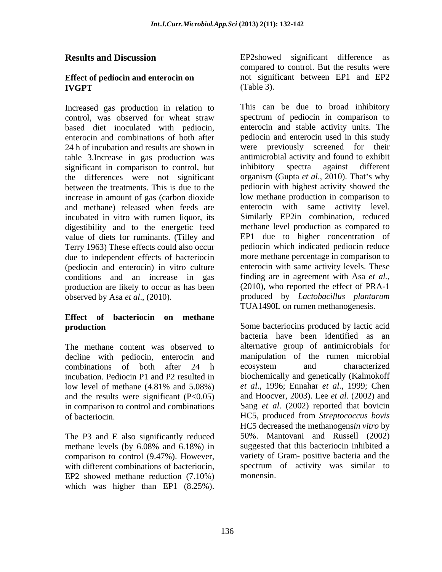## **Effect of pediocin and enterocin on**

control, was observed for wheat straw based diet inoculated with pediocin, table 3. Increase in gas production was antimicrobial activity and found<br>significant in comparison to control, but inhibitory spectra against significant in comparison to control, but inhibitory spectra against different the differences were not significant increase in amount of gas (carbon dioxide and methane) released when feeds are incubated in vitro with rumen liquor, its digestibility and to the energetic feed value of diets for ruminants. (Tilley and due to independent effects of bacteriocin (pediocin and enterocin) in vitro culture conditions and an increase in gas production are likely to occur as has been

## **Effect of bacteriocin on methane**

The methane content was observed to decline with pediocin, enterocin and manipulation of the combinations of both after 24 h ecosystem and incubation. Pediocin P1 and P2 resulted in and the results were significant  $(P<0.05)$ in comparison to control and combinations

The P3 and E also significantly reduced comparison to control (9.47%). However, with different combinations of bacteriocin, spectrum of activity was similar to<br>EP2 showed methane reduction (7.10%) monensin.

**Results and Discussion EP2showed** significant difference as **IVGPT** (Table 3). compared to control. But the results were not significant between EP1 and EP2 (Table 3).

Increased gas production in relation to This can be due to broad inhibitory enterocin and combinations of both after pediocin and enterocin used in this study 24 h of incubation and results are shown in were previously screened for their between the treatments. This is due to the pediocin with highest activity showed the Terry 1963) These effects could also occur pediocin which indicated pediocin reduce observed by Asa *et al*., (2010). produced by *Lactobacillus plantarum* **Results and Discussion**<br> **Compared in compared in earth was highered a generation of the significant difference as<br>
<b>EXCO of the significant** in earth was the strength of the strength of<br>
INCRIP (Table 3).<br>
Interasted ga spectrum of pediocin in comparison to enterocin and stable activity units. The antimicrobial activity and found to exhibit inhibitory spectra against different organism (Gupta *et al.*, 2010). That's why low methane production in comparison to enterocin with same activity level. Similarly EP2in combination, reduced methane level production as compared to EP1 due to higher concentration of more methane percentage in comparison to enterocin with same activity levels. These finding are in agreement with Asa *et al.,* (2010), who reported the effect of PRA-1 TUA1490L on rumen methanogenesis.

**production** Some bacteriocins produced by lactic acid combinations of both after 24 h low level of methane (4.81% and 5.08%) et al., 1996; Ennahar et al., 1999; Chen of bacteriocin. HC5, produced from *Streptococcus bovis* methane levels (by 6.08% and 6.18%) in bacteria have been identified as an alternative group of antimicrobials for manipulation of the rumen microbial ecosystem and characterized biochemically and genetically (Kalmokoff *et al*., 1996; Ennahar *et al*., 1999; Chen and Hoocver, 2003). Lee *et al*. (2002) and Sang *et al*. (2002) reported that bovicin HC5 decreased the methanogens*in vitro* by 50%. Mantovani and Russell (2002) suggested that this bacteriocin inhibited a variety of Gram- positive bacteria and the spectrum of activity was similar to monensin.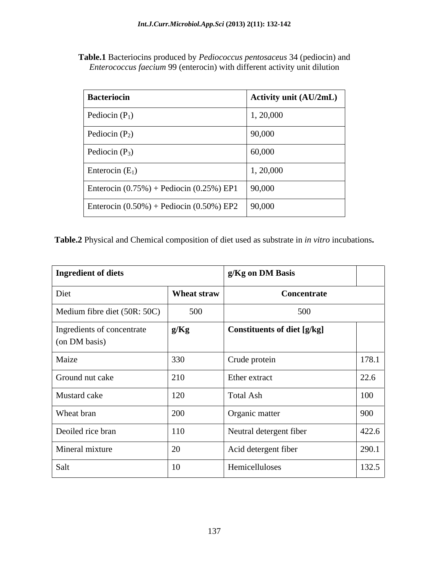**Table.1** Bacteriocins produced by *Pediococcus pentosaceus* 34 (pediocin) and *Enterococcus faecium* 99 (enterocin) with different activity unit dilution

| <b>Bacteriocin</b>                             | <b>Activity unit (AU/2mL)</b> |
|------------------------------------------------|-------------------------------|
| Pediocin $(P_1)$                               | 1, 20,000                     |
| Pediocin $(P_2)$                               | 90,000                        |
| Pediocin $(P_3)$                               | 60,000                        |
| Enterocin $(E_1)$                              | 1, 20,000                     |
| Enterocin $(0.75\%)$ + Pediocin $(0.25\%)$ EP1 | 90,000                        |
| Enterocin $(0.50\%)$ + Pediocin $(0.50\%)$ EP2 | 90,000                        |

**Table.2** Physical and Chemical composition of diet used as substrate in *in vitro* incubations**.**

| Ingredient of diets                         |             | g/Kg on DM Basis            |       |
|---------------------------------------------|-------------|-----------------------------|-------|
| Diet                                        | Wheat straw | Concentrate                 |       |
| Medium fibre diet (50R: 50C)                | 500         | 500                         |       |
| Ingredients of concentrate<br>(on DM basis) | g/Kg        | Constituents of diet [g/kg] |       |
| Maize                                       | 330         | Crude protein               | 178.1 |
| Ground nut cake                             | 210         | Ether extract               | 22.6  |
| Mustard cake                                | 120         | Total Ash                   | 100   |
| Wheat bran                                  | 200         | Organic matter              | 900   |
| Deoiled rice bran                           | 110         | Neutral detergent fiber     | 422.6 |
| Mineral mixture                             | $20\,$      | Acid detergent fiber        | 290.1 |
| Salt                                        | 10          | Hemicelluloses              | 132.5 |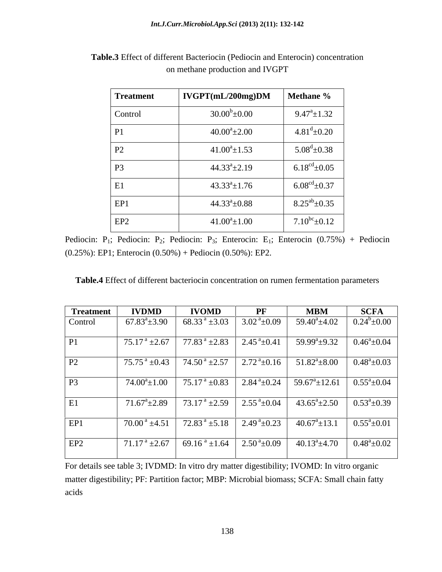| <b>Treatment</b> | $\vert$ IVGPT(mL/200mg)DM $\vert$ Methane % |                             |
|------------------|---------------------------------------------|-----------------------------|
| Control          | $30.00^b \pm 0.00$                          | $9.47^{\circ}$ ±1.32        |
|                  | $40.00^a \pm 2.00$                          | $4.81^{\rm d}$ ±0.20        |
|                  | $41.00^a \pm 1.53$                          | $5.08^{\rm d}$ ±0.38        |
|                  | $44.33^a \pm 2.19$                          | $6.18^{\text{cd}} \pm 0.05$ |
|                  | $43.33^{\circ} \pm 1.76$                    | $6.08^{\text{cd}} \pm 0.37$ |
| EP1              | $44.33^a \pm 0.88$                          | $8.25^{ab} \pm 0.35$        |
| EP2              | $41.00^a \pm 1.00$                          | $7.10^{bc} \pm 0.12$        |

**Table.3** Effect of different Bacteriocin (Pediocin and Enterocin) concentration on methane production and IVGPT

Pediocin: P<sub>1</sub>; Pediocin: P<sub>2</sub>; Pediocin: P<sub>3</sub>; Enterocin: E<sub>1</sub>; Enterocin  $(0.75\%)$  + Pediocin (0.25%): EP1; Enterocin (0.50%) + Pediocin (0.50%): EP2.

| Table.4 Effect<br>ect of different bacteriocin concentration on rumen fermentation parameters |
|-----------------------------------------------------------------------------------------------|
|-----------------------------------------------------------------------------------------------|

| <b>Treatment</b> | <b>IVDMD</b>                                                                                                                                                                          | <b>IVOMD</b>                                                                                                               | $\bf PF$ | <b>MBM</b>                                       | <b>SCFA</b> |
|------------------|---------------------------------------------------------------------------------------------------------------------------------------------------------------------------------------|----------------------------------------------------------------------------------------------------------------------------|----------|--------------------------------------------------|-------------|
| Control          | 67.83 <sup>a</sup> $\pm$ 3.90 68.33 <sup>a</sup> $\pm$ 3.03 3.02 <sup>a</sup> $\pm$ 0.09                                                                                              |                                                                                                                            |          | $59.40^{\circ} \pm 4.02$ $0.24^{\circ} \pm 0.00$ |             |
|                  |                                                                                                                                                                                       |                                                                                                                            |          |                                                  |             |
| P2               | 75.75 <sup>a</sup> ±0.43 74.50 <sup>a</sup> ±2.57 2.72 <sup>a</sup> ±0.16 51.82 <sup>a</sup> ±8.00 0.48 <sup>a</sup> ±0.03                                                            |                                                                                                                            |          |                                                  |             |
|                  | $74.00^{\circ} \pm 1.00$   $75.17^{\circ} \pm 0.83$   $2.84^{\circ} \pm 0.24$   $59.67^{\circ} \pm 12.61$   $0.55^{\circ} \pm 0.04$                                                   |                                                                                                                            |          |                                                  |             |
|                  |                                                                                                                                                                                       | $71.67^{\circ} \pm 2.89$ $73.17^{\circ} \pm 2.59$ $2.55^{\circ} \pm 0.04$ $43.65^{\circ} \pm 2.50$ $0.53^{\circ} \pm 0.39$ |          |                                                  |             |
| EP <sub>1</sub>  |                                                                                                                                                                                       |                                                                                                                            |          |                                                  |             |
| EP <sub>2</sub>  | $\boxed{71.17^{\text{ a}} \pm 2.67$ $\boxed{69.16^{\text{ a}} \pm 1.64}$ $\boxed{2.50^{\text{ a}} \pm 0.09}$ $\boxed{40.13^{\text{ a}} \pm 4.70}$ $\boxed{0.48^{\text{ a}} \pm 0.02}$ |                                                                                                                            |          |                                                  |             |

For details see table 3; IVDMD: In vitro dry matter digestibility; IVOMD: In vitro organic matter digestibility; PF: Partition factor; MBP: Microbial biomass; SCFA: Small chain fatty acids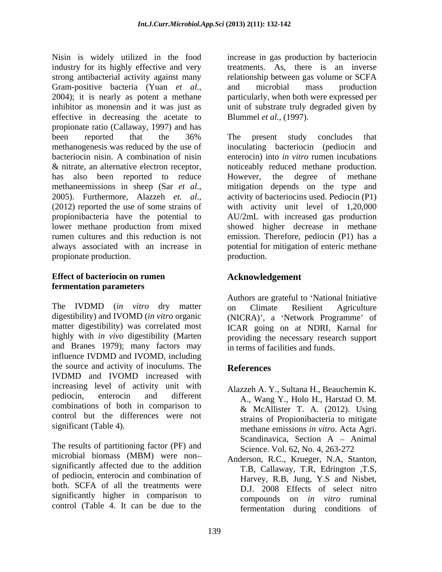Nisin is widely utilized in the food increase in gas production by bacteriocin industry for its highly effective and very treatments. As, there is an inverse strong antibacterial activity against many Gram-positive bacteria (Yuan *et al.*, and microbial mass production 2004); it is nearly as potent a methane particularly, when both were expressed per inhibitor as monensin and it was just as unit of substrate truly degraded given by effective in decreasing the acetate to propionate ratio (Callaway, 1997) and has been reported that the 36% The present study concludes that methanogenesis was reduced by the use of bacteriocin nisin. A combination of nisin enterocin) into *in vitro* rumen incubations & nitrate, an alternative electron receptor, noticeably reduced methane production. has also been reported to reduce However, the degree of methane methaneemissions in sheep (Sar *et al.*, mitigation depends on the type and 2005). Furthermore, Alazzeh *et. al.*, activity of bacteriocins used. Pediocin (P1) (2012) reported the use of some strains of with activity unit propionibacteria have the potential to AU/2mL with increased gas production lower methane production from mixed showed higher decrease in methane rumen cultures and this reduction is not emission. Therefore, pediocin (P1) has a always associated with an increase in potential for mitigation of enteric methane propionate production. The production production.

## **Effect of bacteriocin on rumen fermentation parameters**

The IVDMD (*in vitro* dry matter digestibility) and IVOMD (*in vitro* organic (NICRA)', a 'Network Programme' of matter digestibility) was correlated most ICAR going on at NDRI, Karnal for highly with *in vivo* digestibility (Marten providing the necessary research support and Branes 1979); many factors may influence IVDMD and IVOMD, including the source and activity of inoculums. The **References** IVDMD and IVOMD increased with increasing level of activity unit with pediocin, enterocin and different A., Wang Y., Holo H., Harstad O. M. combinations of both in comparison to control but the differences were not

The results of partitioning factor (PF) and microbial biomass (MBM) were non significantly affected due to the addition T.B, Callaway, T.R, Edrington ,T.S, of pediocin, enterocin and combination of both. SCFA of all the treatments were significantly higher in comparison to control (Table 4. It can be due to the

relationship between gas volume or SCFA and microbial mass production particularly, when both were expressed per Blummel *et al.,* (1997).

The present study concludes that inoculating bacteriocin (pediocin and However, the degree of methane mitigation depends on the type and activity of bacteriocins used. Pediocin (P1) with activity unit level of 1,20,000 production.

## **Acknowledgement**

Authors are grateful to 'National Initiative on Climate Resilient Agriculture in terms of facilities and funds.

## **References**

- significant (Table 4). methane emissions *in vitro*. Acta Agri. Alazzeh A. Y., Sultana H., Beauchemin K. & McAllister T. A. (2012). Using strains of Propionibacteria to mitigate Scandinavica, Section  $A - Animal$ Science. Vol. 62, No. 4, 263-272
	- Anderson, R.C., Krueger, N.A, Stanton, Harvey, R.B, Jung, Y.S and Nisbet, D.J. 2008 Effects of select nitro compounds on *in vitro* ruminal fermentation during conditions of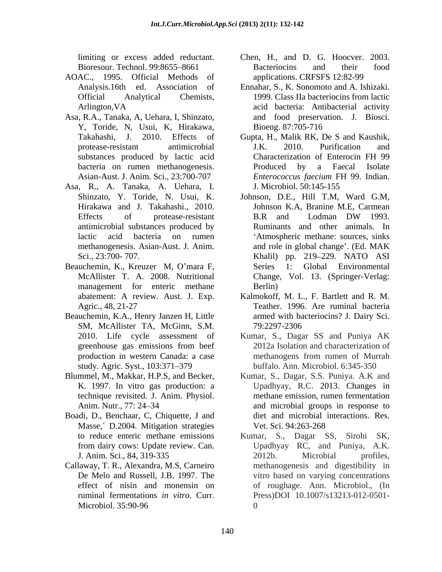- AOAC., 1995. Official Methods of
- Asa, R.A., Tanaka, A, Uehara, I, Shinzato, Y, Toride, N, Usui, K, Hirakawa,
- Asa, R., A. Tanaka, A. Uehara, I. antimicrobial substances produced by
- Beauchemin, K., Kreuzer M, O'mara F, Series 1: management for enteric methane Berlin)
- Beauchemin, K.A., Henry Janzen H, Little SM, McAllister TA, McGinn, S.M. study. Agric. Syst., 103:371–379
- 
- Boadi, D., Benchaar, C, Chiquette, J and Masse, D.2004. Mitigation strategies Vet. Sci. 94:263-268
- Callaway, T. R., Alexandra, M.S, Carneiro
- limiting or excess added reductant. Chen, H., and D. G. Hoocver. 2003. Bioresour. Technol. 99:8655–8661 Bacteriocins and their food Bacteriocins and their food applications. CRFSFS 12:82-99
- Analysis.16th ed. Association of Ennahar, S., K. Sonomoto and A. Ishizaki. Official Analytical Chemists, 1999. Class IIa bacteriocins from lactic Arlington,VA acid bacteria: Antibacterial activity and food preservation. J. Biosci. Bioeng. 87:705-716
- Takahashi, J. 2010. Effects of Gupta, H., Malik RK, De S and Kaushik, protease-resistant antimicrobial J.K. 2010. Purification and substances produced by lactic acid Characterization of Enterocin FH 99 bacteria on rumen methanogenesis. Produced by a Faecal Isolate Asian-Aust. J. Anim. Sci., 23:700-707 *Enterococcus faecium FH 99. Indian.* J.K. 2010. Purification and Characterization of Enterocin FH 99 Produced by a Faecal Isolate *Enterococcus faecium* FH 99. Indian. J. Microbiol. 50:145-155
- Shinzato, Y. Toride, N. Usui, K. Johnson, D.E., Hill T.M, Ward G.M, Hirakawa and J. Takahashi., 2010. Johnson K.A, Branine M.E, Carmean Effects of protease-resistant B.R and Lodman DW 1993. lactic acid bacteria on rumen Atmospheric methane: sources, sinks methanogenesis. Asian-Aust. J. Anim. and role in global change'. (Ed. MAK Sci., 23:700- 707. Khalil) pp. 219 229. NATO ASI McAllister T. A. 2008. Nutritional Change, Vol. 13. (Springer-Verlag: B.R and Lodman DW 1993. Ruminants and other animals. In Global Environmental Berlin)
- abatement: A review. Aust. J. Exp. Kalmokoff, M. L., F. Bartlett and R. M. Agric., 48, 21-27 Teather. 1996. Are ruminal bacteria armed with bacteriocins? J. Dairy Sci. 79:2297-2306
- 2010. Life cycle assessment of Kumar, S., Dagar SS and Puniya AK greenhouse gas emissions from beef production in western Canada: a case 2012a Isolation and characterization of methanogens from rumen of Murrah buffalo. Ann. Microbiol. 6:345-350
- Blummel, M., Makkar, H.P.S, and Becker, Kumar, S., Dagar, S.S. Puniya. A.K and K. 1997. In vitro gas production: a Upadhyay, R.C. 2013. Changes in technique revisited. J. Anim. Physiol. methane emission, rumen fermentation Anim. Nutr., 77: 24–34 **and microbial groups** in response to diet and microbial interactions. Res. Vet. Sci. 94:263-268
	- to reduce enteric methane emissions Kumar, S., Dagar SS, Sirohi SK, from dairy cows: Update review. Can. [1] Upadhyay RC, and Puniya, A.K. J. Anim. Sci., 84, 319-335 De Melo and Russell, J.B. 1997. The vitro based on varying concentrations effect of nisin and monensin on of roughage. Ann. Microbiol., (In ruminal fermentations *in vitro*. Curr. Microbiol. 35:90-96 Upadhyay RC, and Puniya, A.K. 2012b. Microbial profiles, methanogenesis and digestibility in Press)DOI 10.1007/s13213-012-0501-  $\Omega$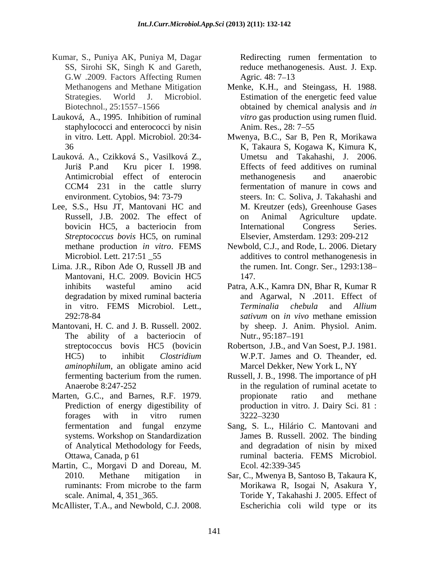- Kumar, S., Puniya AK, Puniya M, Dagar Redirecting rumen fermentation to SS, Sirohi SK, Singh K and Gareth, reduce methanogenesis. Aust. J. Exp. G.W .2009. Factors Affecting Rumen Agric. 48: 7–13
- Lauková, A., 1995. Inhibition of ruminal staphylococci and enterococci by nisin Anim. Res., 28: 7–55
- Lauková. A., Czikková S., Vasilková Z., environment. Cytobios, 94: 73-79
- Lee, S.S., Hsu JT, Mantovani HC and *Streptococcus bovis* HC5, on ruminal
- Lima. J.R., Ribon Ade O, Russell JB and Mantovani, H.C. 2009. Bovicin HC5
- Mantovani, H. C. and J. B. Russell. 2002. by sheep. J. Anim. Physiol. Anim. The ability of a bacteriocin of Nutr., 95:187–191 *aminophilum*, an obligate amino acid Marcel Dekker, New York L, NY
- Marten, G.C., and Barnes, R.F. 1979. propionate ratio and methane forages with in vitro rumen 3222–3230
- Martin, C., Morgavi D and Doreau, M. Ecol. 42:339-345
- 

Agric. 48: 7–13

- Methanogens and Methane Mitigation Menke, K.H., and Steingass, H. 1988. Strategies. World J. Microbiol. Estimation of the energetic feed value Biotechnol., 25:1557–1566 **b**obtained by chemical analysis and *in* **box** *vitro* gas production using rumen fluid. Anim. Res., 28: 7–55
- in vitro. Lett. Appl. Microbiol. 20:34- Mwenya, B.C., Sar B, Pen R, Morikawa 36 K, Takaura S, Kogawa K, Kimura K, Juriš P.and Kru picer I. 1998. Effects of feed additives on ruminal Antimicrobial effect of enterocin methanogenesis and anaerobic CCM4 231 in the cattle slurry fermentation of manure in cows and Russell, J.B. 2002. The effect of bovicin HC5, a bacteriocin from International Congress Series. Kamer, S., Flanch McAllister, Norman Frementation and The C. 2008. The C. 2008. Redirecting Routes and Agents and Agents and the C.J. 2008. Redirection and Agents and the state of the state of the state of the matter of t Umetsu and Takahashi, J. 2006. methanogenesis and anaerobic steers. In: C. Soliva, J. Takahashi and M. Kreutzer (eds), Greenhouse Gases on Animal Agriculture update. International Congress Series. Elsevier, Amsterdam. 1293: 209-212
	- methane production *in vitro*. FEMS Newbold, C.J., and Rode, L. 2006. Dietary Microbiol. Lett. 217:51 \_55 additives to control methanogenesis in the rumen. Int. Congr. Ser., 1293:138 147.
	- inhibits wasteful amino acid Patra, A.K., Kamra DN, Bhar R, Kumar R degradation by mixed ruminal bacteria and Agarwal, N .2011. Effect of in vitro. FEMS Microbiol. Lett., *Terminalia chebula* and *Allium* 292:78-84 *sativum* on *in vivo* methane emission *Terminalia chebula* and *Allium*  by sheep. J. Anim. Physiol. Anim.<br>Nutr., 95:187–191
	- streptococcus bovis HC5 (bovicin Robertson, J.B., and Van Soest, P.J. 1981. HC5) to inhibit *Clostridium*  W.P.T. James and O. Theander, ed. Marcel Dekker, New York L, NY
	- fermenting bacterium from the rumen. Russell, J. B., 1998. The importance of pH Anaerobe 8:247-252 in the regulation of ruminal acetate to Prediction of energy digestibility of production in vitro. J. Dairy Sci. 81 : propionate ratio and methane 3222 3230
	- fermentation and fungal enzyme Sang, S. L., Hilário C. Mantovani and systems. Workshop on Standardization James B. Russell. 2002. The binding of Analytical Methodology for Feeds, and degradation of nisin by mixed Ottawa, Canada, p 61 ruminal bacteria. FEMS Microbiol. Ecol. 42:339-345
	- 2010. Methane mitigation in Sar, C., Mwenya B, Santoso B, Takaura K, ruminants: From microbe to the farm Morikawa R, Isogai N, Asakura Y, scale. Animal, 4, 351\_365. Toride Y, Takahashi J. 2005. Effect of Morikawa R, Isogai N, Asakura Y, Escherichia coli wild type or its